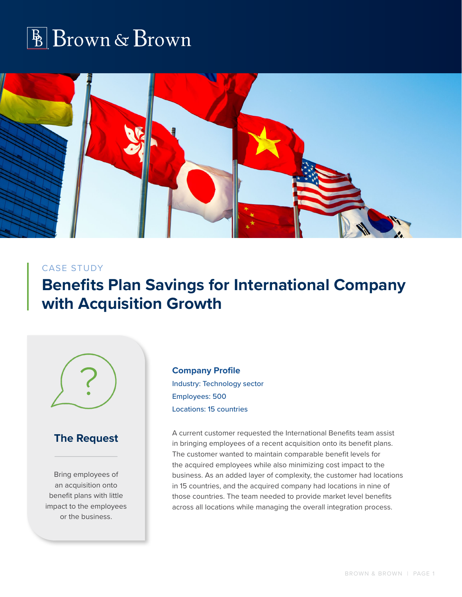



#### CASE STUDY

# **Benefits Plan Savings for International Company with Acquisition Growth**



#### **The Request**

Bring employees of an acquisition onto benefit plans with little impact to the employees or the business.

**Company Profile** Industry: Technology sector Employees: 500 Locations: 15 countries

A current customer requested the International Benefits team assist in bringing employees of a recent acquisition onto its benefit plans. The customer wanted to maintain comparable benefit levels for the acquired employees while also minimizing cost impact to the business. As an added layer of complexity, the customer had locations in 15 countries, and the acquired company had locations in nine of those countries. The team needed to provide market level benefits across all locations while managing the overall integration process.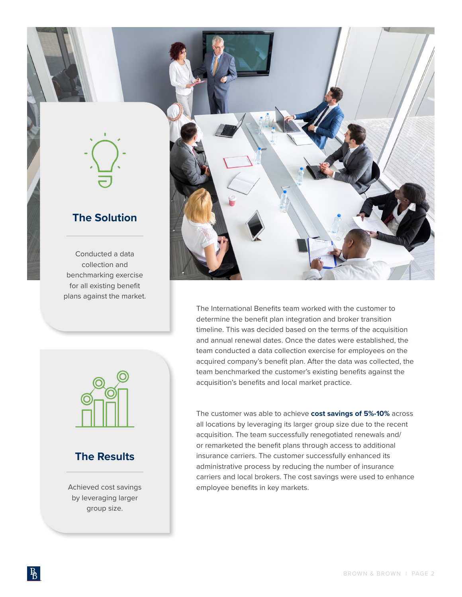

### **The Solution**

Conducted a data collection and benchmarking exercise for all existing benefit plans against the market.



### **The Results**

Achieved cost savings by leveraging larger group size.



The International Benefits team worked with the customer to determine the benefit plan integration and broker transition timeline. This was decided based on the terms of the acquisition and annual renewal dates. Once the dates were established, the team conducted a data collection exercise for employees on the acquired company's benefit plan. After the data was collected, the team benchmarked the customer's existing benefits against the acquisition's benefits and local market practice.

The customer was able to achieve **cost savings of 5%-10%** across all locations by leveraging its larger group size due to the recent acquisition. The team successfully renegotiated renewals and/ or remarketed the benefit plans through access to additional insurance carriers. The customer successfully enhanced its administrative process by reducing the number of insurance carriers and local brokers. The cost savings were used to enhance employee benefits in key markets.